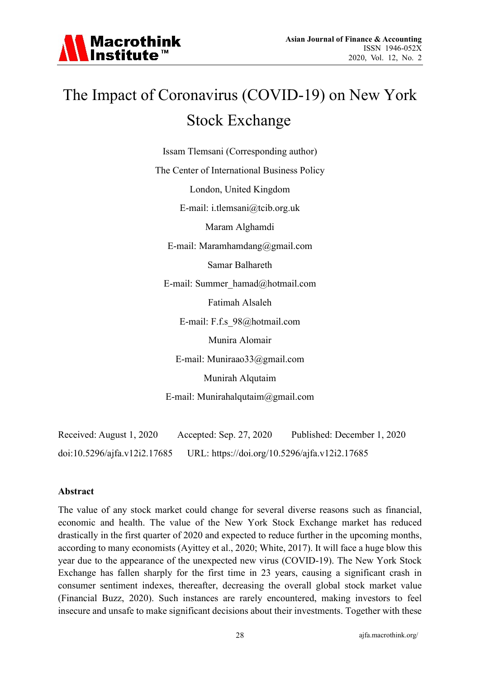

# The Impact of Coronavirus (COVID-19) on New York Stock Exchange

Issam Tlemsani (Corresponding author) The Center of International Business Policy London, United Kingdom E-mail: i.tlemsani@tcib.org.uk Maram Alghamdi E-mail: Maramhamdang@gmail.com Samar Balhareth E-mail: Summer\_hamad@hotmail.com Fatimah Alsaleh E-mail: F.f.s\_98@hotmail.com Munira Alomair E-mail: Muniraao33@gmail.com Munirah Alqutaim E-mail: Munirahalqutaim@gmail.com

Received: August 1, 2020 Accepted: Sep. 27, 2020 Published: December 1, 2020 doi:10.5296/ajfa.v12i2.17685 URL: https://doi.org/10.5296/ajfa.v12i2.17685

#### Abstract

The value of any stock market could change for several diverse reasons such as financial, economic and health. The value of the New York Stock Exchange market has reduced drastically in the first quarter of 2020 and expected to reduce further in the upcoming months, according to many economists (Ayittey et al., 2020; White, 2017). It will face a huge blow this year due to the appearance of the unexpected new virus (COVID-19). The New York Stock Exchange has fallen sharply for the first time in 23 years, causing a significant crash in consumer sentiment indexes, thereafter, decreasing the overall global stock market value (Financial Buzz, 2020). Such instances are rarely encountered, making investors to feel insecure and unsafe to make significant decisions about their investments. Together with these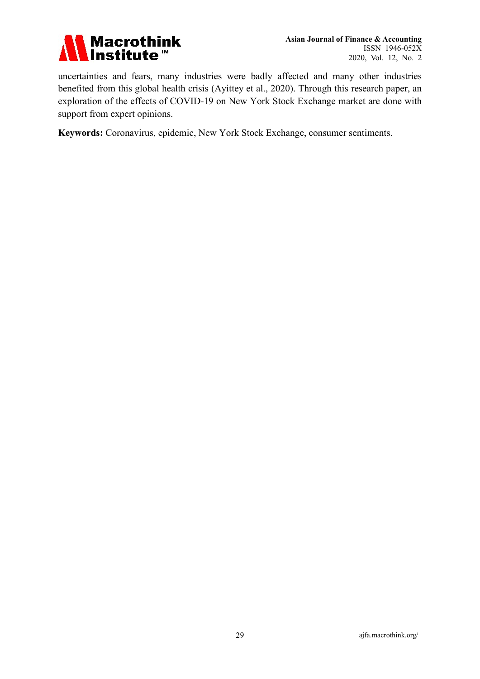

uncertainties and fears, many industries were badly affected and many other industries benefited from this global health crisis (Ayittey et al., 2020). Through this research paper, an exploration of the effects of COVID-19 on New York Stock Exchange market are done with support from expert opinions.

Keywords: Coronavirus, epidemic, New York Stock Exchange, consumer sentiments.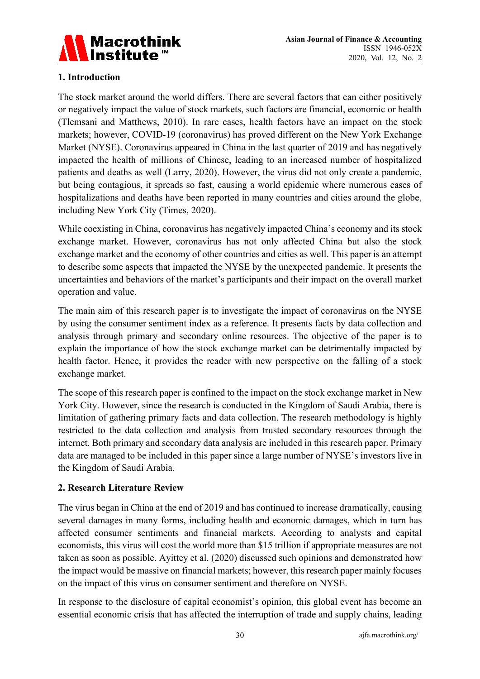

# 1. Introduction

The stock market around the world differs. There are several factors that can either positively or negatively impact the value of stock markets, such factors are financial, economic or health (Tlemsani and Matthews, 2010). In rare cases, health factors have an impact on the stock markets; however, COVID-19 (coronavirus) has proved different on the New York Exchange Market (NYSE). Coronavirus appeared in China in the last quarter of 2019 and has negatively impacted the health of millions of Chinese, leading to an increased number of hospitalized patients and deaths as well (Larry, 2020). However, the virus did not only create a pandemic, but being contagious, it spreads so fast, causing a world epidemic where numerous cases of hospitalizations and deaths have been reported in many countries and cities around the globe, including New York City (Times, 2020).

While coexisting in China, coronavirus has negatively impacted China's economy and its stock exchange market. However, coronavirus has not only affected China but also the stock exchange market and the economy of other countries and cities as well. This paper is an attempt to describe some aspects that impacted the NYSE by the unexpected pandemic. It presents the uncertainties and behaviors of the market's participants and their impact on the overall market operation and value.

The main aim of this research paper is to investigate the impact of coronavirus on the NYSE by using the consumer sentiment index as a reference. It presents facts by data collection and analysis through primary and secondary online resources. The objective of the paper is to explain the importance of how the stock exchange market can be detrimentally impacted by health factor. Hence, it provides the reader with new perspective on the falling of a stock exchange market.

The scope of this research paper is confined to the impact on the stock exchange market in New York City. However, since the research is conducted in the Kingdom of Saudi Arabia, there is limitation of gathering primary facts and data collection. The research methodology is highly restricted to the data collection and analysis from trusted secondary resources through the internet. Both primary and secondary data analysis are included in this research paper. Primary data are managed to be included in this paper since a large number of NYSE's investors live in the Kingdom of Saudi Arabia.

# 2. Research Literature Review

The virus began in China at the end of 2019 and has continued to increase dramatically, causing several damages in many forms, including health and economic damages, which in turn has affected consumer sentiments and financial markets. According to analysts and capital economists, this virus will cost the world more than \$15 trillion if appropriate measures are not taken as soon as possible. Ayittey et al. (2020) discussed such opinions and demonstrated how the impact would be massive on financial markets; however, this research paper mainly focuses on the impact of this virus on consumer sentiment and therefore on NYSE.

In response to the disclosure of capital economist's opinion, this global event has become an essential economic crisis that has affected the interruption of trade and supply chains, leading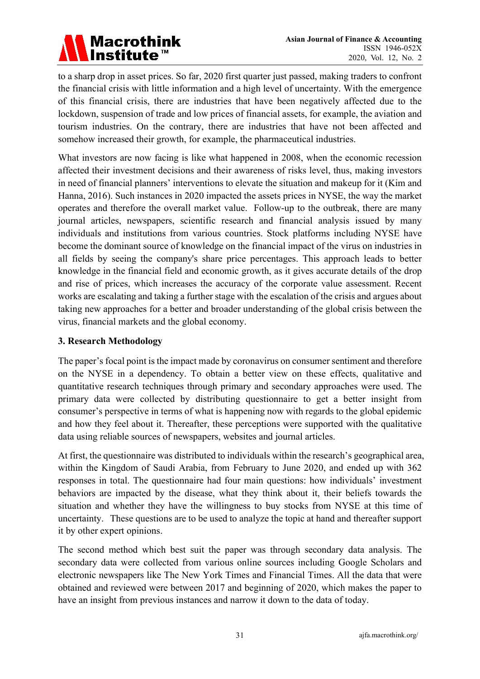

to a sharp drop in asset prices. So far, 2020 first quarter just passed, making traders to confront the financial crisis with little information and a high level of uncertainty. With the emergence of this financial crisis, there are industries that have been negatively affected due to the lockdown, suspension of trade and low prices of financial assets, for example, the aviation and tourism industries. On the contrary, there are industries that have not been affected and somehow increased their growth, for example, the pharmaceutical industries.

What investors are now facing is like what happened in 2008, when the economic recession affected their investment decisions and their awareness of risks level, thus, making investors in need of financial planners' interventions to elevate the situation and makeup for it (Kim and Hanna, 2016). Such instances in 2020 impacted the assets prices in NYSE, the way the market operates and therefore the overall market value. Follow-up to the outbreak, there are many journal articles, newspapers, scientific research and financial analysis issued by many individuals and institutions from various countries. Stock platforms including NYSE have become the dominant source of knowledge on the financial impact of the virus on industries in all fields by seeing the company's share price percentages. This approach leads to better knowledge in the financial field and economic growth, as it gives accurate details of the drop and rise of prices, which increases the accuracy of the corporate value assessment. Recent works are escalating and taking a further stage with the escalation of the crisis and argues about taking new approaches for a better and broader understanding of the global crisis between the virus, financial markets and the global economy.

## 3. Research Methodology

The paper's focal point is the impact made by coronavirus on consumer sentiment and therefore on the NYSE in a dependency. To obtain a better view on these effects, qualitative and quantitative research techniques through primary and secondary approaches were used. The primary data were collected by distributing questionnaire to get a better insight from consumer's perspective in terms of what is happening now with regards to the global epidemic and how they feel about it. Thereafter, these perceptions were supported with the qualitative data using reliable sources of newspapers, websites and journal articles.

At first, the questionnaire was distributed to individuals within the research's geographical area, within the Kingdom of Saudi Arabia, from February to June 2020, and ended up with 362 responses in total. The questionnaire had four main questions: how individuals' investment behaviors are impacted by the disease, what they think about it, their beliefs towards the situation and whether they have the willingness to buy stocks from NYSE at this time of uncertainty. These questions are to be used to analyze the topic at hand and thereafter support it by other expert opinions.

The second method which best suit the paper was through secondary data analysis. The secondary data were collected from various online sources including Google Scholars and electronic newspapers like The New York Times and Financial Times. All the data that were obtained and reviewed were between 2017 and beginning of 2020, which makes the paper to have an insight from previous instances and narrow it down to the data of today.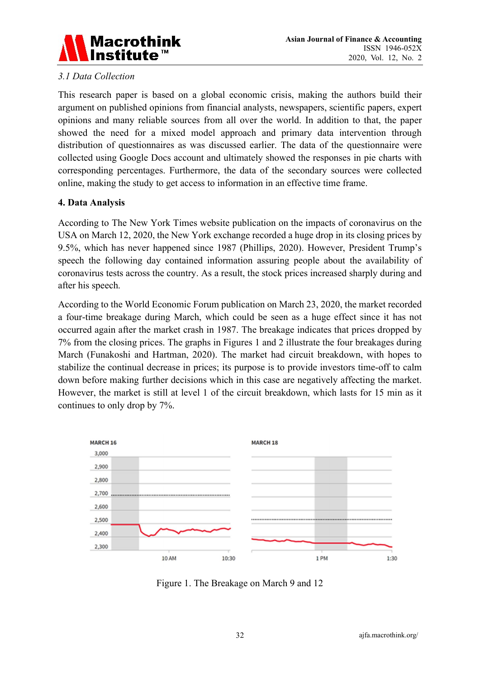

# 3.1 Data Collection

This research paper is based on a global economic crisis, making the authors build their argument on published opinions from financial analysts, newspapers, scientific papers, expert opinions and many reliable sources from all over the world. In addition to that, the paper showed the need for a mixed model approach and primary data intervention through distribution of questionnaires as was discussed earlier. The data of the questionnaire were collected using Google Docs account and ultimately showed the responses in pie charts with corresponding percentages. Furthermore, the data of the secondary sources were collected online, making the study to get access to information in an effective time frame.

## 4. Data Analysis

According to The New York Times website publication on the impacts of coronavirus on the USA on March 12, 2020, the New York exchange recorded a huge drop in its closing prices by 9.5%, which has never happened since 1987 (Phillips, 2020). However, President Trump's speech the following day contained information assuring people about the availability of coronavirus tests across the country. As a result, the stock prices increased sharply during and after his speech.

According to the World Economic Forum publication on March 23, 2020, the market recorded a four-time breakage during March, which could be seen as a huge effect since it has not occurred again after the market crash in 1987. The breakage indicates that prices dropped by 7% from the closing prices. The graphs in Figures 1 and 2 illustrate the four breakages during March (Funakoshi and Hartman, 2020). The market had circuit breakdown, with hopes to stabilize the continual decrease in prices; its purpose is to provide investors time-off to calm down before making further decisions which in this case are negatively affecting the market. However, the market is still at level 1 of the circuit breakdown, which lasts for 15 min as it continues to only drop by 7%.



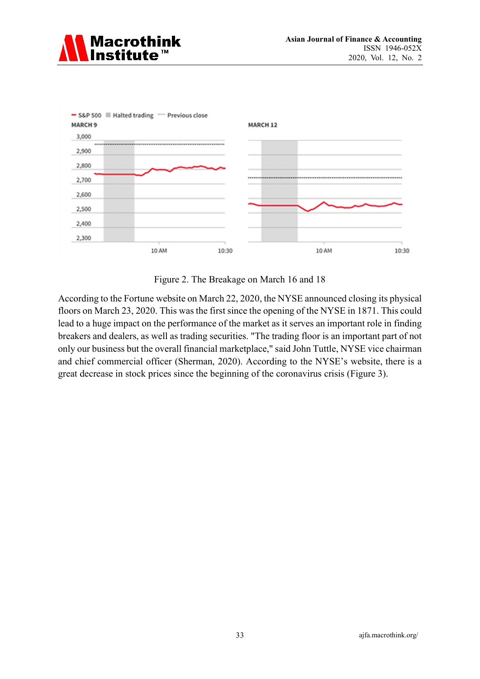



Figure 2. The Breakage on March 16 and 18

According to the Fortune website on March 22, 2020, the NYSE announced closing its physical floors on March 23, 2020. This was the first since the opening of the NYSE in 1871. This could lead to a huge impact on the performance of the market as it serves an important role in finding breakers and dealers, as well as trading securities. "The trading floor is an important part of not only our business but the overall financial marketplace," said John Tuttle, NYSE vice chairman and chief commercial officer (Sherman, 2020). According to the NYSE's website, there is a great decrease in stock prices since the beginning of the coronavirus crisis (Figure 3).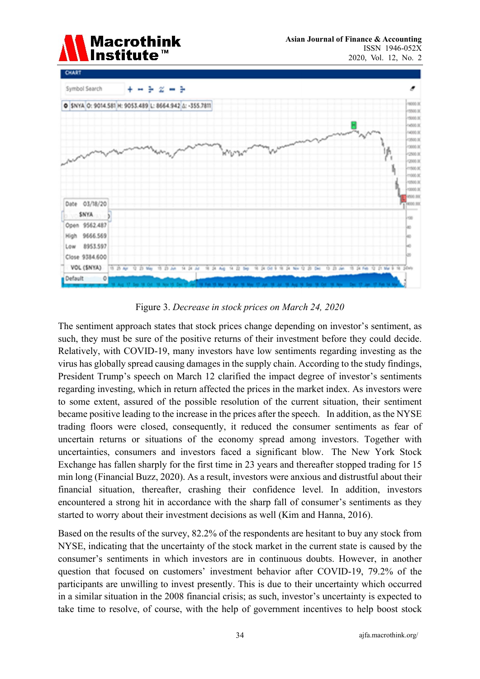



Figure 3. Decrease in stock prices on March 24, 2020

The sentiment approach states that stock prices change depending on investor's sentiment, as such, they must be sure of the positive returns of their investment before they could decide. Relatively, with COVID-19, many investors have low sentiments regarding investing as the virus has globally spread causing damages in the supply chain. According to the study findings, President Trump's speech on March 12 clarified the impact degree of investor's sentiments regarding investing, which in return affected the prices in the market index. As investors were to some extent, assured of the possible resolution of the current situation, their sentiment became positive leading to the increase in the prices after the speech. In addition, as the NYSE trading floors were closed, consequently, it reduced the consumer sentiments as fear of uncertain returns or situations of the economy spread among investors. Together with uncertainties, consumers and investors faced a significant blow. The New York Stock Exchange has fallen sharply for the first time in 23 years and thereafter stopped trading for 15 min long (Financial Buzz, 2020). As a result, investors were anxious and distrustful about their financial situation, thereafter, crashing their confidence level. In addition, investors encountered a strong hit in accordance with the sharp fall of consumer's sentiments as they started to worry about their investment decisions as well (Kim and Hanna, 2016).

Based on the results of the survey, 82.2% of the respondents are hesitant to buy any stock from NYSE, indicating that the uncertainty of the stock market in the current state is caused by the consumer's sentiments in which investors are in continuous doubts. However, in another question that focused on customers' investment behavior after COVID-19, 79.2% of the participants are unwilling to invest presently. This is due to their uncertainty which occurred in a similar situation in the 2008 financial crisis; as such, investor's uncertainty is expected to take time to resolve, of course, with the help of government incentives to help boost stock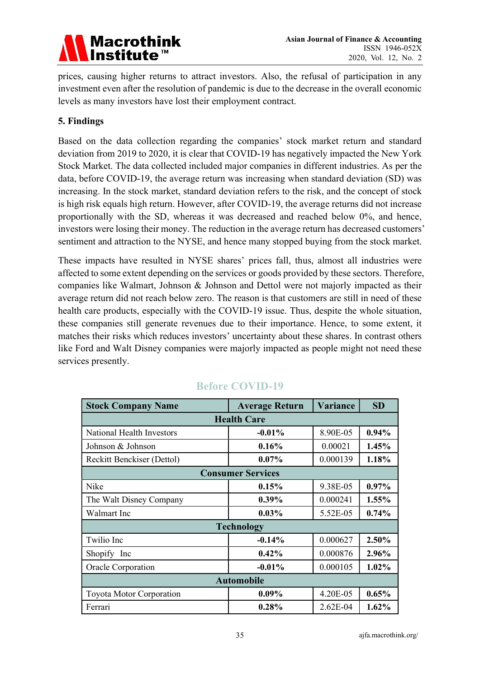

prices, causing higher returns to attract investors. Also, the refusal of participation in any investment even after the resolution of pandemic is due to the decrease in the overall economic levels as many investors have lost their employment contract.

## 5. Findings

Based on the data collection regarding the companies' stock market return and standard deviation from 2019 to 2020, it is clear that COVID-19 has negatively impacted the New York Stock Market. The data collected included major companies in different industries. As per the data, before COVID-19, the average return was increasing when standard deviation (SD) was increasing. In the stock market, standard deviation refers to the risk, and the concept of stock is high risk equals high return. However, after COVID-19, the average returns did not increase proportionally with the SD, whereas it was decreased and reached below 0%, and hence, investors were losing their money. The reduction in the average return has decreased customers' sentiment and attraction to the NYSE, and hence many stopped buying from the stock market.

These impacts have resulted in NYSE shares' prices fall, thus, almost all industries were affected to some extent depending on the services or goods provided by these sectors. Therefore, companies like Walmart, Johnson & Johnson and Dettol were not majorly impacted as their average return did not reach below zero. The reason is that customers are still in need of these health care products, especially with the COVID-19 issue. Thus, despite the whole situation, these companies still generate revenues due to their importance. Hence, to some extent, it matches their risks which reduces investors' uncertainty about these shares. In contrast others like Ford and Walt Disney companies were majorly impacted as people might not need these services presently.

| <b>Stock Company Name</b>       | <b>Average Return</b> | Variance | SD       |  |  |
|---------------------------------|-----------------------|----------|----------|--|--|
| <b>Health Care</b>              |                       |          |          |  |  |
| National Health Investors       | $-0.01\%$             | 8.90E-05 | $0.94\%$ |  |  |
| Johnson & Johnson               | 0.16%                 | 0.00021  | 1.45%    |  |  |
| Reckitt Benckiser (Dettol)      | $0.07\%$              | 0.000139 | 1.18%    |  |  |
| <b>Consumer Services</b>        |                       |          |          |  |  |
| Nike                            | 0.15%                 | 9.38E-05 | $0.97\%$ |  |  |
| The Walt Disney Company         | $0.39\%$              | 0.000241 | 1.55%    |  |  |
| Walmart Inc                     | 0.03%                 | 5.52E-05 | 0.74%    |  |  |
| <b>Technology</b>               |                       |          |          |  |  |
| Twilio Inc                      | $-0.14%$              | 0.000627 | 2.50%    |  |  |
| Shopify Inc                     | 0.42%                 | 0.000876 | 2.96%    |  |  |
| Oracle Corporation              | $-0.01%$              | 0.000105 | $1.02\%$ |  |  |
| <b>Automobile</b>               |                       |          |          |  |  |
| <b>Toyota Motor Corporation</b> | $0.09\%$              | 4.20E-05 | 0.65%    |  |  |
| Ferrari                         | 0.28%                 | 2.62E-04 | $1.62\%$ |  |  |

# Before COVID-19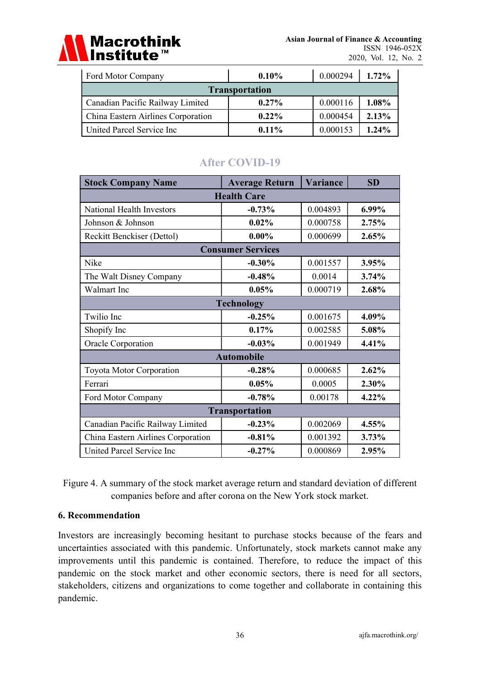

| Ford Motor Company                 | $0.10\%$ | 0.000294 | $1.72\%$ |  |  |
|------------------------------------|----------|----------|----------|--|--|
| <b>Transportation</b>              |          |          |          |  |  |
| Canadian Pacific Railway Limited   | $0.27\%$ | 0.000116 | 1.08%    |  |  |
| China Eastern Airlines Corporation | $0.22\%$ | 0.000454 | $2.13\%$ |  |  |
| United Parcel Service Inc          | $0.11\%$ | 0.000153 | $1.24\%$ |  |  |

# After COVID-19

| <b>Stock Company Name</b>          | <b>Average Return</b> | <b>Variance</b> | <b>SD</b> |  |  |
|------------------------------------|-----------------------|-----------------|-----------|--|--|
| <b>Health Care</b>                 |                       |                 |           |  |  |
| National Health Investors          | $-0.73%$              | 0.004893        | 6.99%     |  |  |
| Johnson & Johnson                  | 0.02%                 | 0.000758        | 2.75%     |  |  |
| Reckitt Benckiser (Dettol)         | $0.00\%$              | 0.000699        | 2.65%     |  |  |
| <b>Consumer Services</b>           |                       |                 |           |  |  |
| Nike                               | $-0.30%$              | 0.001557        | 3.95%     |  |  |
| The Walt Disney Company            | $-0.48%$              | 0.0014          | 3.74%     |  |  |
| Walmart Inc                        | 0.05%                 | 0.000719        | 2.68%     |  |  |
| <b>Technology</b>                  |                       |                 |           |  |  |
| Twilio Inc                         | $-0.25%$              | 0.001675        | 4.09%     |  |  |
| Shopify Inc                        | 0.17%                 | 0.002585        | 5.08%     |  |  |
| Oracle Corporation                 | $-0.03%$              | 0.001949        | 4.41%     |  |  |
| <b>Automobile</b>                  |                       |                 |           |  |  |
| Toyota Motor Corporation           | $-0.28%$              | 0.000685        | 2.62%     |  |  |
| Ferrari                            | 0.05%                 | 0.0005          | 2.30%     |  |  |
| Ford Motor Company                 | $-0.78%$              | 0.00178         | 4.22%     |  |  |
| <b>Transportation</b>              |                       |                 |           |  |  |
| Canadian Pacific Railway Limited   | $-0.23%$              | 0.002069        | 4.55%     |  |  |
| China Eastern Airlines Corporation | $-0.81%$              | 0.001392        | 3.73%     |  |  |
| United Parcel Service Inc          | $-0.27%$              | 0.000869        | 2.95%     |  |  |

Figure 4. A summary of the stock market average return and standard deviation of different companies before and after corona on the New York stock market.

## 6. Recommendation

Investors are increasingly becoming hesitant to purchase stocks because of the fears and uncertainties associated with this pandemic. Unfortunately, stock markets cannot make any improvements until this pandemic is contained. Therefore, to reduce the impact of this pandemic on the stock market and other economic sectors, there is need for all sectors, stakeholders, citizens and organizations to come together and collaborate in containing this pandemic.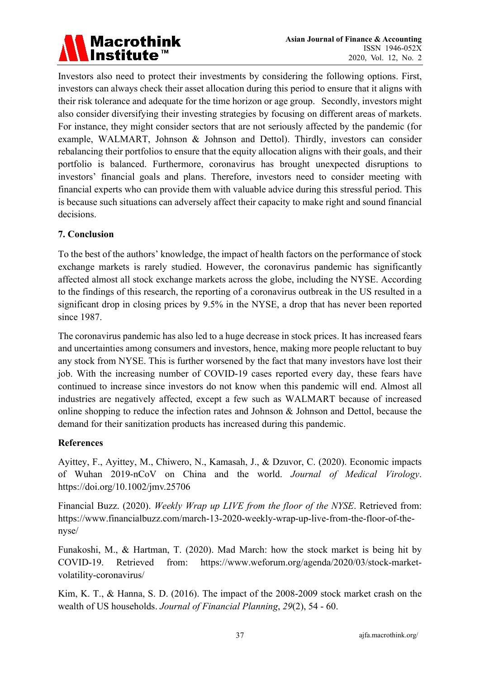

Investors also need to protect their investments by considering the following options. First, investors can always check their asset allocation during this period to ensure that it aligns with their risk tolerance and adequate for the time horizon or age group. Secondly, investors might also consider diversifying their investing strategies by focusing on different areas of markets. For instance, they might consider sectors that are not seriously affected by the pandemic (for example, WALMART, Johnson & Johnson and Dettol). Thirdly, investors can consider rebalancing their portfolios to ensure that the equity allocation aligns with their goals, and their portfolio is balanced. Furthermore, coronavirus has brought unexpected disruptions to investors' financial goals and plans. Therefore, investors need to consider meeting with financial experts who can provide them with valuable advice during this stressful period. This is because such situations can adversely affect their capacity to make right and sound financial decisions.

## 7. Conclusion

To the best of the authors' knowledge, the impact of health factors on the performance of stock exchange markets is rarely studied. However, the coronavirus pandemic has significantly affected almost all stock exchange markets across the globe, including the NYSE. According to the findings of this research, the reporting of a coronavirus outbreak in the US resulted in a significant drop in closing prices by 9.5% in the NYSE, a drop that has never been reported since 1987.

The coronavirus pandemic has also led to a huge decrease in stock prices. It has increased fears and uncertainties among consumers and investors, hence, making more people reluctant to buy any stock from NYSE. This is further worsened by the fact that many investors have lost their job. With the increasing number of COVID-19 cases reported every day, these fears have continued to increase since investors do not know when this pandemic will end. Almost all industries are negatively affected, except a few such as WALMART because of increased online shopping to reduce the infection rates and Johnson & Johnson and Dettol, because the demand for their sanitization products has increased during this pandemic.

## References

Ayittey, F., Ayittey, M., Chiwero, N., Kamasah, J., & Dzuvor, C. (2020). Economic impacts of Wuhan 2019‐nCoV on China and the world. Journal of Medical Virology. https://doi.org/10.1002/jmv.25706

Financial Buzz. (2020). Weekly Wrap up LIVE from the floor of the NYSE. Retrieved from: https://www.financialbuzz.com/march-13-2020-weekly-wrap-up-live-from-the-floor-of-thenyse/

Funakoshi, M., & Hartman, T. (2020). Mad March: how the stock market is being hit by COVID-19. Retrieved from: https://www.weforum.org/agenda/2020/03/stock-marketvolatility-coronavirus/

Kim, K. T., & Hanna, S. D. (2016). The impact of the 2008-2009 stock market crash on the wealth of US households. Journal of Financial Planning, 29(2), 54 - 60.